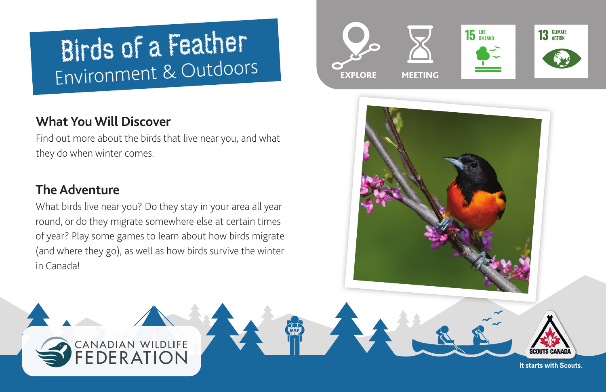# Birds of a Feather Environment & Outdoors

# **What You Will Discover**

Find out more about the birds that live near you, and what they do when winter comes.

## **The Adventure**

What birds live near you? Do they stay in your area all year round, or do they migrate somewhere else at certain times of year? Play some games to learn about how birds migrate (and where they go), as well as how birds survive the winter in Canada!

> CANADIAN WILDLIFE EDERATION





It starts with Scouts.